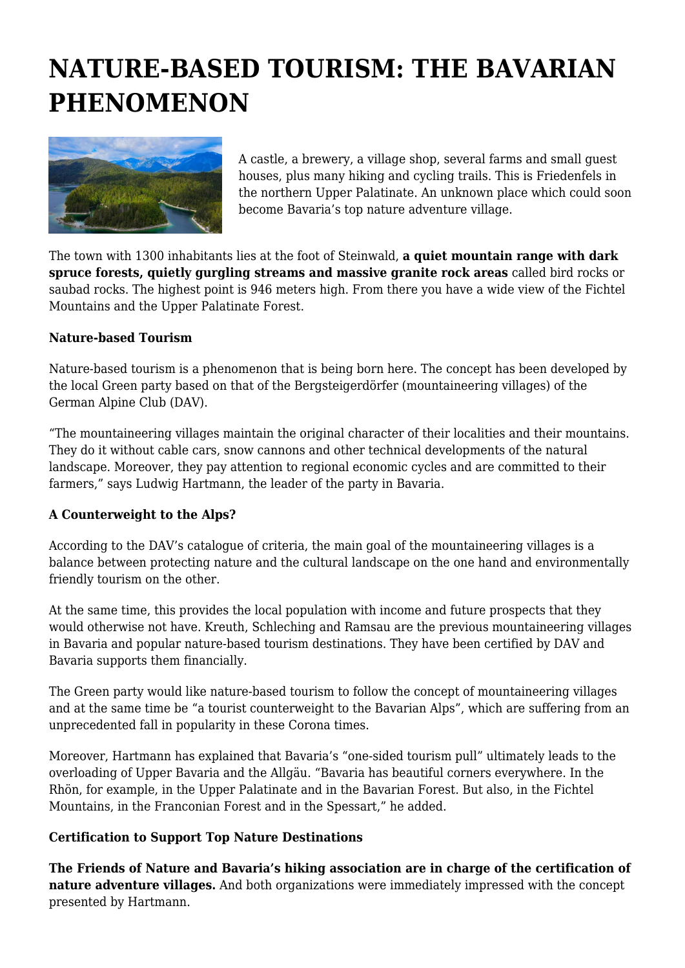## **NATURE-BASED TOURISM: THE BAVARIAN PHENOMENON**



A castle, a brewery, a village shop, several farms and small guest houses, plus many hiking and cycling trails. This is Friedenfels in the northern Upper Palatinate. An unknown place which could soon become Bavaria's top nature adventure village.

The town with 1300 inhabitants lies at the foot of Steinwald, **a quiet mountain range with dark spruce forests, quietly gurgling streams and massive granite rock areas** called bird rocks or saubad rocks. The highest point is 946 meters high. From there you have a wide view of the Fichtel Mountains and the Upper Palatinate Forest.

## **Nature-based Tourism**

Nature-based tourism is a phenomenon that is being born here. The concept has been developed by the local Green party based on that of the Bergsteigerdörfer (mountaineering villages) of the German Alpine Club (DAV).

"The mountaineering villages maintain the original character of their localities and their mountains. They do it without cable cars, snow cannons and other technical developments of the natural landscape. Moreover, they pay attention to regional economic cycles and are committed to their farmers," says Ludwig Hartmann, the leader of the party in Bavaria.

## **A Counterweight to the Alps?**

According to the DAV's catalogue of criteria, the main goal of the mountaineering villages is a balance between protecting nature and the cultural landscape on the one hand and environmentally friendly tourism on the other.

At the same time, this provides the local population with income and future prospects that they would otherwise not have. Kreuth, Schleching and Ramsau are the previous mountaineering villages in Bavaria and popular nature-based tourism destinations. They have been certified by DAV and Bavaria supports them financially.

The Green party would like nature-based tourism to follow the concept of mountaineering villages and at the same time be "a tourist counterweight to the Bavarian Alps", which are suffering from an unprecedented fall in popularity in these Corona times.

Moreover, Hartmann has explained that Bavaria's "one-sided tourism pull" ultimately leads to the overloading of Upper Bavaria and the Allgäu. "Bavaria has beautiful corners everywhere. In the Rhön, for example, in the Upper Palatinate and in the Bavarian Forest. But also, in the Fichtel Mountains, in the Franconian Forest and in the Spessart," he added.

## **Certification to Support Top Nature Destinations**

**The Friends of Nature and Bavaria's hiking association are in charge of the certification of nature adventure villages.** And both organizations were immediately impressed with the concept presented by Hartmann.